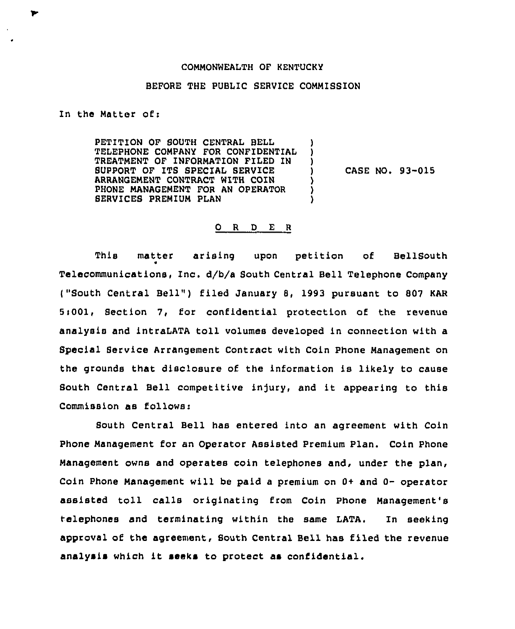## COMMONWEALTH OF KENTUCKY

## BEFORE THE PUBLIC SERVICE COMMISSION

) ) )

) ) )

In the Matter ofi

ኈ

PETITION OF SOUTH CENTRAL BELL TELEPHONE COMPANY FOR CONFIDENTIAL TREATMENT OF INFORMATION FILED IN SUPPORT OF ITS SPECIAL SERVICE ARRANGEMENT CONTRACT WITH COIN PHONE MANAGEMENT FOR AN OPERATOR SERVICES PREMIUM PLAN

) CASE NO. 93-015

## 0 <sup>R</sup> <sup>D</sup> E <sup>R</sup>

This matter arising upon petition of BellSouth 0 Telecommunications, Inc, d/b/a south central Bell Telephone company ("South Central Bell") filed January 8, 1993 pursuant to 807 KAR 5>001, Section 7, for confidential protection of the revenue analysis and intraLATA toll volumes developed in connection with a Special Service Arrangement Contract with Coin Phone Management on the grounds that disclosure of the information is likely to cause South Central Bell competitive injury, and it appearing to this Commission as follows:

South Central Bell has entered into an agreement with Coin Phone Management for an Operator Assisted Premium Plan. Coin Phone Management owns and operates coin telephones and, under the plan, Coin Phone Management will be paid a premium on 0+ and 0- operator assisted toll calls originating from Coin Phone Management's telephones and terminating within the same LATA. In seeking approval of the agreement, South Central Bell has filed the revenue analysis which it seeks to protect as confidential.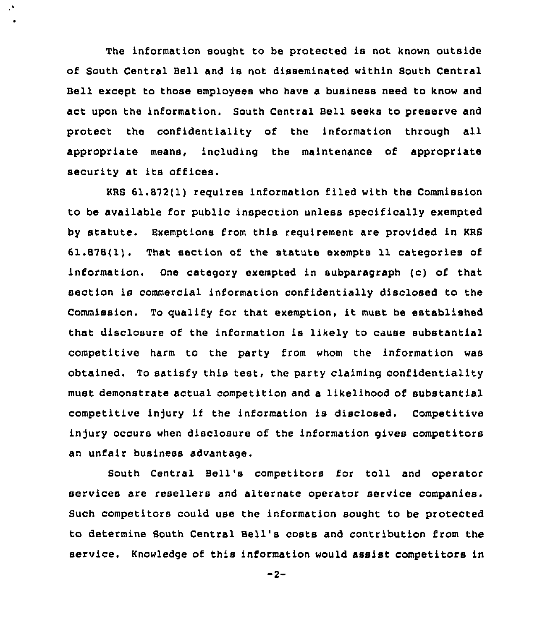The information sought to be protected is not known outside of South Central Bell and is not disseminated within South Central Bell except to those employees who have a business need to know and act upon the information. South Central Bell seeks to preserve and protect the confidentiality of the information through all appropriate means, including the maintenance of appropriate security at its offices.

 $\mathcal{S}$ 

KRS 61.872(1) requires information filed with the Commission to be available for public inspection unless specifically exempted by statute. Exemptions from this requirement are provided in KRS 61.878(1), That section of the statute exempts 11 categories of information. One category exempted in subparagraph (c) of that section is commercial information confidentially disclosed to the Commission. To qualify for that exemption, it must be established that disclosure of the information is likely to cause substantial competitive harm to the party from whom the information was obtained. To satisfy this test, the party claiming confidentiality must demonstrate actual competition and a likelihood of substantial competitive injury if the information is disclosed. Competitive injury occurs when disclosure of the information gives competitors an unfair business advantage.

South Central Bell's competitors for toll and operator services are resellers and alternate operator service companies. Such competitors could use the information sought to be protected to determine South Central Bell's costs and contribution from the service. Knowledge of this information would assist competitors in

 $-2-$